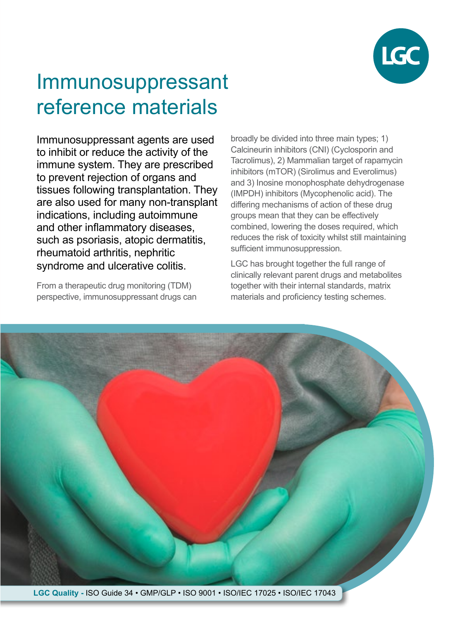

# Immunosuppressant reference materials

Immunosuppressant agents are used to inhibit or reduce the activity of the immune system. They are prescribed to prevent rejection of organs and tissues following transplantation. They are also used for many non-transplant indications, including autoimmune and other inflammatory diseases, such as psoriasis, atopic dermatitis, rheumatoid arthritis, nephritic syndrome and ulcerative colitis.

From a therapeutic drug monitoring (TDM) perspective, immunosuppressant drugs can broadly be divided into three main types; 1) Calcineurin inhibitors (CNI) (Cyclosporin and Tacrolimus), 2) Mammalian target of rapamycin inhibitors (mTOR) (Sirolimus and Everolimus) and 3) Inosine monophosphate dehydrogenase (IMPDH) inhibitors (Mycophenolic acid). The differing mechanisms of action of these drug groups mean that they can be effectively combined, lowering the doses required, which reduces the risk of toxicity whilst still maintaining sufficient immunosuppression.

LGC has brought together the full range of clinically relevant parent drugs and metabolites together with their internal standards, matrix materials and proficiency testing schemes.



**LGC Quality -** ISO Guide 34 • GMP/GLP • ISO 9001 • ISO/IEC 17025 • ISO/IEC 17043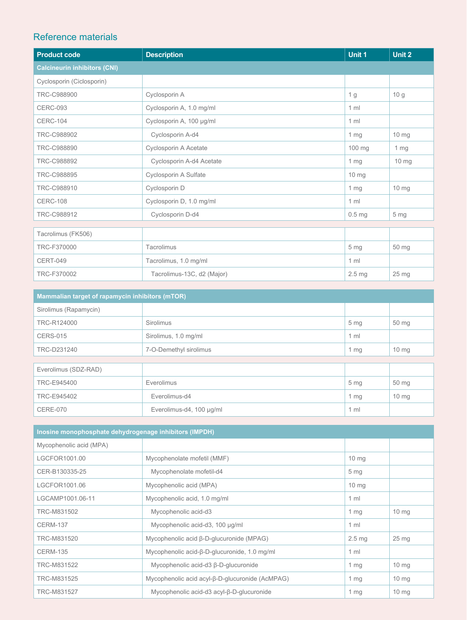### Reference materials

| <b>Product code</b>                 | <b>Description</b>         | Unit 1            | Unit 2          |
|-------------------------------------|----------------------------|-------------------|-----------------|
| <b>Calcineurin inhibitors (CNI)</b> |                            |                   |                 |
| Cyclosporin (Ciclosporin)           |                            |                   |                 |
| TRC-C988900                         | Cyclosporin A              | 1 g               | 10 <sub>g</sub> |
| <b>CERC-093</b>                     | Cyclosporin A, 1.0 mg/ml   | $1 \text{ ml}$    |                 |
| <b>CERC-104</b>                     | Cyclosporin A, 100 µg/ml   | 1 <sub>m</sub>    |                 |
| TRC-C988902                         | Cyclosporin A-d4           | $1 \, mg$         | $10 \text{ mg}$ |
| TRC-C988890                         | Cyclosporin A Acetate      | 100 mg            | 1 mg            |
| TRC-C988892                         | Cyclosporin A-d4 Acetate   | 1 <sub>mg</sub>   | $10 \, mg$      |
| TRC-C988895                         | Cyclosporin A Sulfate      | $10 \text{ mg}$   |                 |
| TRC-C988910                         | Cyclosporin D              | 1 <sub>mg</sub>   | 10 mg           |
| <b>CERC-108</b>                     | Cyclosporin D, 1.0 mg/ml   | $1 \text{ ml}$    |                 |
| TRC-C988912                         | Cyclosporin D-d4           | 0.5 <sub>mg</sub> | 5 <sub>mg</sub> |
|                                     |                            |                   |                 |
| Tacrolimus (FK506)                  |                            |                   |                 |
| TRC-F370000                         | Tacrolimus                 | 5 <sub>mg</sub>   | 50 mg           |
| <b>CERT-049</b>                     | Tacrolimus, 1.0 mg/ml      | 1 <sub>m</sub>    |                 |
| TRC-F370002                         | Tacrolimus-13C, d2 (Major) | $2.5 \text{ mg}$  | $25 \text{ mg}$ |

| Mammalian target of rapamycin inhibitors (mTOR) |                          |                 |                 |
|-------------------------------------------------|--------------------------|-----------------|-----------------|
| Sirolimus (Rapamycin)                           |                          |                 |                 |
| TRC-R124000                                     | Sirolimus                | 5 <sub>mg</sub> | 50 mg           |
| <b>CERS-015</b>                                 | Sirolimus, 1.0 mg/ml     | $1 \text{ ml}$  |                 |
| TRC-D231240                                     | 7-O-Demethyl sirolimus   | 1 $mg$          | $10 \text{ mg}$ |
|                                                 |                          |                 |                 |
| Everolimus (SDZ-RAD)                            |                          |                 |                 |
| TRC-E945400                                     | Everolimus               | 5 <sub>mg</sub> | 50 mg           |
| TRC-E945402                                     | Everolimus-d4            | $1 \, mg$       | $10 \text{ mg}$ |
| <b>CERE-070</b>                                 | Everolimus-d4, 100 µg/ml | $1$ ml          |                 |

| Inosine monophosphate dehydrogenage inhibitors (IMPDH) |                                                      |                   |                  |
|--------------------------------------------------------|------------------------------------------------------|-------------------|------------------|
| Mycophenolic acid (MPA)                                |                                                      |                   |                  |
| LGCFOR1001.00                                          | Mycophenolate mofetil (MMF)                          | $10 \text{ mg}$   |                  |
| CER-B130335-25                                         | Mycophenolate mofetil-d4                             | 5 <sub>mg</sub>   |                  |
| LGCFOR1001.06                                          | Mycophenolic acid (MPA)                              | $10 \text{ mg}$   |                  |
| LGCAMP1001.06-11                                       | Mycophenolic acid, 1.0 mg/ml                         | $1 \text{ ml}$    |                  |
| TRC-M831502                                            | Mycophenolic acid-d3                                 | $1 \, mg$         | $10 \text{ mg}$  |
| <b>CERM-137</b>                                        | Mycophenolic acid-d3, 100 µg/ml                      | $1 \text{ ml}$    |                  |
| TRC-M831520                                            | Mycophenolic acid β-D-glucuronide (MPAG)             | 2.5 <sub>mg</sub> | 25 <sub>mg</sub> |
| <b>CERM-135</b>                                        | Mycophenolic acid- $\beta$ -D-glucuronide, 1.0 mg/ml | $1 \text{ ml}$    |                  |
| TRC-M831522                                            | Mycophenolic acid-d3 β-D-glucuronide                 | 1 $mg$            | $10 \text{ mg}$  |
| TRC-M831525                                            | Mycophenolic acid acyl-β-D-glucuronide (AcMPAG)      | 1 $mg$            | $10 \text{ mg}$  |
| TRC-M831527                                            | Mycophenolic acid-d3 acyl-B-D-glucuronide            | 1 $mg$            | 10 <sub>mg</sub> |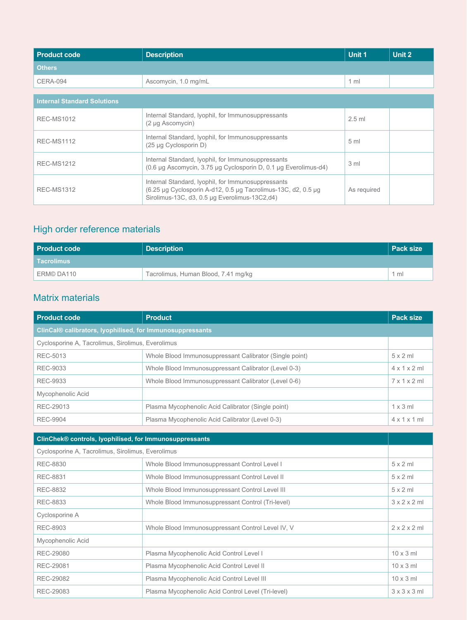| <b>Product code</b>                | <b>Description</b>                                                                                                                                                   | Unit 1          | Unit 2 |
|------------------------------------|----------------------------------------------------------------------------------------------------------------------------------------------------------------------|-----------------|--------|
| <b>Others</b>                      |                                                                                                                                                                      |                 |        |
| <b>CERA-094</b>                    | Ascomycin, 1.0 mg/mL                                                                                                                                                 | $1 \text{ ml}$  |        |
| <b>Internal Standard Solutions</b> |                                                                                                                                                                      |                 |        |
|                                    | Internal Standard, Iyophil, for Immunosuppressants                                                                                                                   |                 |        |
| <b>REC-MS1012</b>                  | (2 µg Ascomycin)                                                                                                                                                     | $2.5$ ml        |        |
| <b>REC-MS1112</b>                  | Internal Standard, Iyophil, for Immunosuppressants<br>(25 µg Cyclosporin D)                                                                                          | 5 <sub>ml</sub> |        |
|                                    |                                                                                                                                                                      |                 |        |
| <b>REC-MS1212</b>                  | Internal Standard, Iyophil, for Immunosuppressants<br>(0.6 µg Ascomycin, 3.75 µg Cyclosporin D, 0.1 µg Everolimus-d4)                                                | 3 <sub>ml</sub> |        |
| <b>REC-MS1312</b>                  | Internal Standard, Iyophil, for Immunosuppressants<br>(6.25 µg Cyclosporin A-d12, 0.5 µg Tacrolimus-13C, d2, 0.5 µg<br>Sirolimus-13C, d3, 0.5 µg Everolimus-13C2,d4) | As required     |        |

# High order reference materials

| <b>Product code</b> | <b>Description</b>                  | <b>Pack size</b> |
|---------------------|-------------------------------------|------------------|
| l Tacrolimus I      |                                     |                  |
| ERM© DA110          | Tacrolimus, Human Blood, 7.41 mg/kg | $1 \text{ ml}$   |

## Matrix materials

| <b>Product code</b>                                       | <b>Product</b>                                          | <b>Pack size</b>         |
|-----------------------------------------------------------|---------------------------------------------------------|--------------------------|
| ClinCal® calibrators, lyophilised, for Immunosuppressants |                                                         |                          |
| Cyclosporine A, Tacrolimus, Sirolimus, Everolimus         |                                                         |                          |
| REC-5013                                                  | Whole Blood Immunosuppressant Calibrator (Single point) | $5 \times 2$ ml          |
| REC-9033                                                  | Whole Blood Immunosuppressant Calibrator (Level 0-3)    | $4 \times 1 \times 2$ ml |
| REC-9933                                                  | Whole Blood Immunosuppressant Calibrator (Level 0-6)    | $7 \times 1 \times 2$ ml |
| Mycophenolic Acid                                         |                                                         |                          |
| REC-29013                                                 | Plasma Mycophenolic Acid Calibrator (Single point)      | $1 \times 3$ ml          |
| <b>REC-9904</b>                                           | Plasma Mycophenolic Acid Calibrator (Level 0-3)         | $4 \times 1 \times 1$ ml |
|                                                           |                                                         |                          |
| ClinChek® controls, Iyophilised, for Immunosuppressants   |                                                         |                          |

| ClinChek® controls, lyophilised, for immunosuppressants |                          |  |
|---------------------------------------------------------|--------------------------|--|
| Cyclosporine A, Tacrolimus, Sirolimus, Everolimus       |                          |  |
| Whole Blood Immunosuppressant Control Level I           | $5 \times 2$ ml          |  |
| Whole Blood Immunosuppressant Control Level II          | $5 \times 2$ ml          |  |
| Whole Blood Immunosuppressant Control Level III         | $5 \times 2$ ml          |  |
| Whole Blood Immunosuppressant Control (Tri-level)       | $3 \times 2 \times 2$ ml |  |
|                                                         |                          |  |
| Whole Blood Immunosuppressant Control Level IV, V       | $2 \times 2 \times 2$ ml |  |
|                                                         |                          |  |
| Plasma Mycophenolic Acid Control Level I                | $10 \times 3$ ml         |  |
| Plasma Mycophenolic Acid Control Level II               | $10 \times 3$ ml         |  |
| Plasma Mycophenolic Acid Control Level III              | $10 \times 3$ ml         |  |
| Plasma Mycophenolic Acid Control Level (Tri-level)      | $3 \times 3 \times 3$ ml |  |
|                                                         |                          |  |